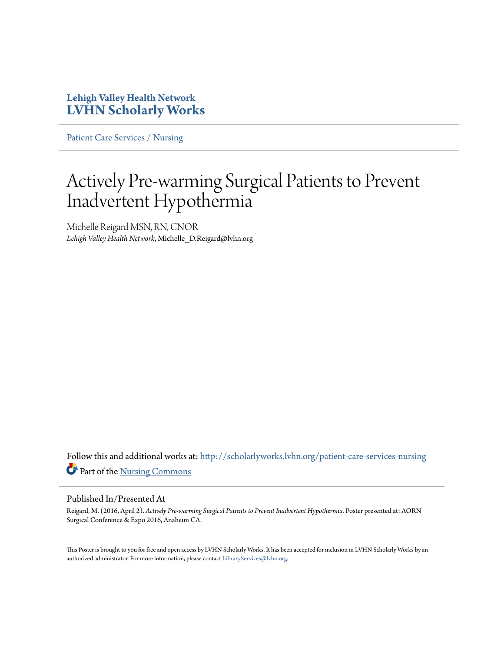### **Lehigh Valley Health Network [LVHN Scholarly Works](http://scholarlyworks.lvhn.org?utm_source=scholarlyworks.lvhn.org%2Fpatient-care-services-nursing%2F624&utm_medium=PDF&utm_campaign=PDFCoverPages)**

[Patient Care Services / Nursing](http://scholarlyworks.lvhn.org/patient-care-services-nursing?utm_source=scholarlyworks.lvhn.org%2Fpatient-care-services-nursing%2F624&utm_medium=PDF&utm_campaign=PDFCoverPages)

### Actively Pre-warming Surgical Patients to Prevent Inadvertent Hypothermia

Michelle Reigard MSN, RN, CNOR *Lehigh Valley Health Network*, Michelle\_D.Reigard@lvhn.org

Follow this and additional works at: [http://scholarlyworks.lvhn.org/patient-care-services-nursing](http://scholarlyworks.lvhn.org/patient-care-services-nursing?utm_source=scholarlyworks.lvhn.org%2Fpatient-care-services-nursing%2F624&utm_medium=PDF&utm_campaign=PDFCoverPages) Part of the [Nursing Commons](http://network.bepress.com/hgg/discipline/718?utm_source=scholarlyworks.lvhn.org%2Fpatient-care-services-nursing%2F624&utm_medium=PDF&utm_campaign=PDFCoverPages)

### Published In/Presented At

Reigard, M. (2016, April 2). *Actively Pre-warming Surgical Patients to Prevent Inadvertent Hypothermia.* Poster presented at: AORN Surgical Conference & Expo 2016, Anaheim CA.

This Poster is brought to you for free and open access by LVHN Scholarly Works. It has been accepted for inclusion in LVHN Scholarly Works by an authorized administrator. For more information, please contact [LibraryServices@lvhn.org.](mailto:LibraryServices@lvhn.org)